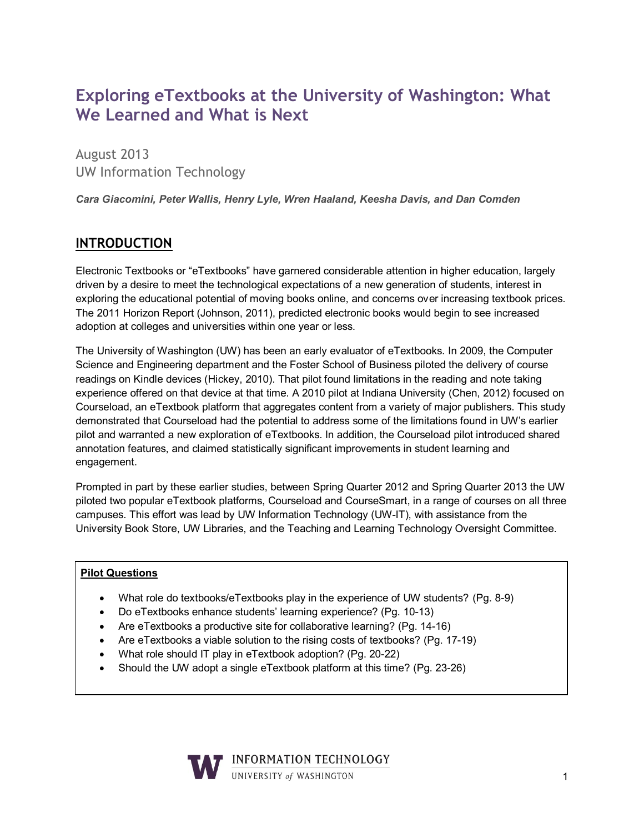# **Exploring eTextbooks at the University of Washington: What We Learned and What is Next**

August 2013 UW Information Technology

*Cara Giacomini, Peter Wallis, Henry Lyle, Wren Haaland, Keesha Davis, and Dan Comden*

## **INTRODUCTION**

Electronic Textbooks or "eTextbooks" have garnered considerable attention in higher education, largely driven by a desire to meet the technological expectations of a new generation of students, interest in exploring the educational potential of moving books online, and concerns over increasing textbook prices. The 2011 Horizon Report (Johnson, 2011), predicted electronic books would begin to see increased adoption at colleges and universities within one year or less.

The University of Washington (UW) has been an early evaluator of eTextbooks. In 2009, the Computer Science and Engineering department and the Foster School of Business piloted the delivery of course readings on Kindle devices (Hickey, 2010). That pilot found limitations in the reading and note taking experience offered on that device at that time. A 2010 pilot at Indiana University (Chen, 2012) focused on Courseload, an eTextbook platform that aggregates content from a variety of major publishers. This study demonstrated that Courseload had the potential to address some of the limitations found in UW's earlier pilot and warranted a new exploration of eTextbooks. In addition, the Courseload pilot introduced shared annotation features, and claimed statistically significant improvements in student learning and engagement.

Prompted in part by these earlier studies, between Spring Quarter 2012 and Spring Quarter 2013 the UW piloted two popular eTextbook platforms, Courseload and CourseSmart, in a range of courses on all three campuses. This effort was lead by UW Information Technology (UW-IT), with assistance from the University Book Store, UW Libraries, and the Teaching and Learning Technology Oversight Committee.

#### **Pilot Questions**

- What role do textbooks/eTextbooks play in the experience of UW students? (Pg. 8-9)
- Do eTextbooks enhance students' learning experience? (Pg. 10-13)
- Are eTextbooks a productive site for collaborative learning? (Pg. 14-16)
- Are eTextbooks a viable solution to the rising costs of textbooks? (Pg. 17-19)
- What role should IT play in eTextbook adoption? (Pg. 20-22)
- Should the UW adopt a single eTextbook platform at this time? (Pg. 23-26)

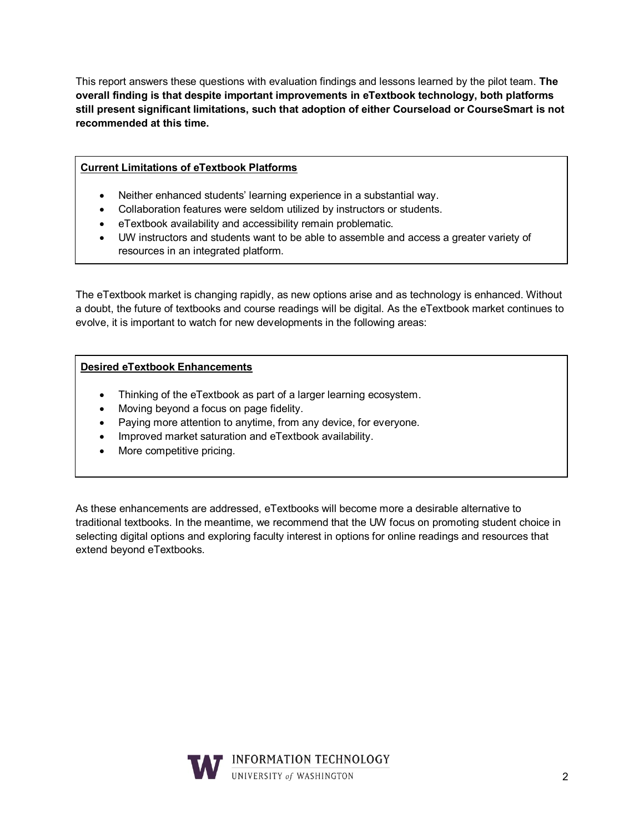This report answers these questions with evaluation findings and lessons learned by the pilot team. **The overall finding is that despite important improvements in eTextbook technology, both platforms still present significant limitations, such that adoption of either Courseload or CourseSmart is not recommended at this time.**

#### **Current Limitations of eTextbook Platforms**

- Neither enhanced students' learning experience in a substantial way.
- Collaboration features were seldom utilized by instructors or students.
- eTextbook availability and accessibility remain problematic.
- UW instructors and students want to be able to assemble and access a greater variety of resources in an integrated platform.

The eTextbook market is changing rapidly, as new options arise and as technology is enhanced. Without a doubt, the future of textbooks and course readings will be digital. As the eTextbook market continues to evolve, it is important to watch for new developments in the following areas:

#### **Desired eTextbook Enhancements**

- Thinking of the eTextbook as part of a larger learning ecosystem.
- Moving beyond a focus on page fidelity.
- Paying more attention to anytime, from any device, for everyone.
- Improved market saturation and eTextbook availability.
- More competitive pricing.

As these enhancements are addressed, eTextbooks will become more a desirable alternative to traditional textbooks. In the meantime, we recommend that the UW focus on promoting student choice in selecting digital options and exploring faculty interest in options for online readings and resources that extend beyond eTextbooks.

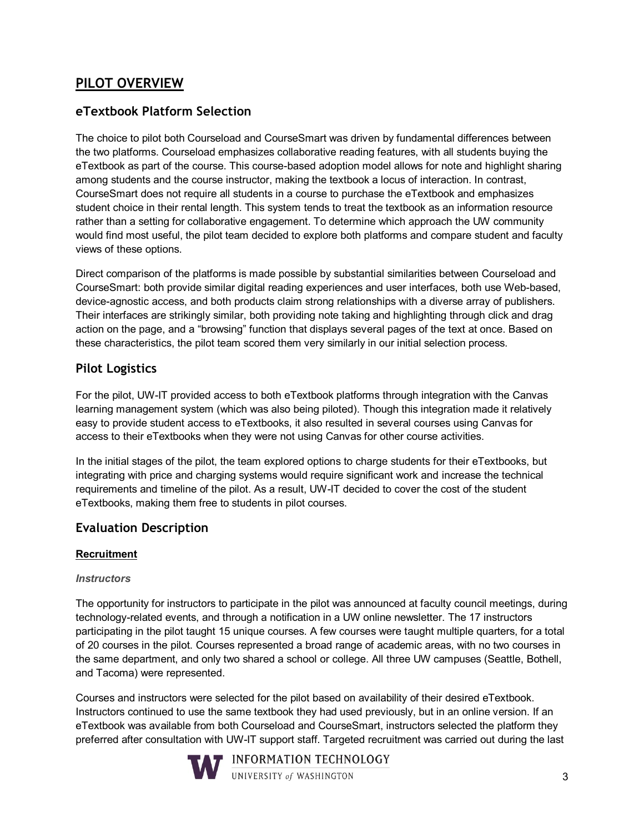## **PILOT OVERVIEW**

### **eTextbook Platform Selection**

The choice to pilot both Courseload and CourseSmart was driven by fundamental differences between the two platforms. Courseload emphasizes collaborative reading features, with all students buying the eTextbook as part of the course. This course-based adoption model allows for note and highlight sharing among students and the course instructor, making the textbook a locus of interaction. In contrast, CourseSmart does not require all students in a course to purchase the eTextbook and emphasizes student choice in their rental length. This system tends to treat the textbook as an information resource rather than a setting for collaborative engagement. To determine which approach the UW community would find most useful, the pilot team decided to explore both platforms and compare student and faculty views of these options.

Direct comparison of the platforms is made possible by substantial similarities between Courseload and CourseSmart: both provide similar digital reading experiences and user interfaces, both use Web-based, device-agnostic access, and both products claim strong relationships with a diverse array of publishers. Their interfaces are strikingly similar, both providing note taking and highlighting through click and drag action on the page, and a "browsing" function that displays several pages of the text at once. Based on these characteristics, the pilot team scored them very similarly in our initial selection process.

#### **Pilot Logistics**

For the pilot, UW-IT provided access to both eTextbook platforms through integration with the Canvas learning management system (which was also being piloted). Though this integration made it relatively easy to provide student access to eTextbooks, it also resulted in several courses using Canvas for access to their eTextbooks when they were not using Canvas for other course activities.

In the initial stages of the pilot, the team explored options to charge students for their eTextbooks, but integrating with price and charging systems would require significant work and increase the technical requirements and timeline of the pilot. As a result, UW-IT decided to cover the cost of the student eTextbooks, making them free to students in pilot courses.

### **Evaluation Description**

#### **Recruitment**

#### *Instructors*

The opportunity for instructors to participate in the pilot was announced at faculty council meetings, during technology-related events, and through a notification in a UW online newsletter. The 17 instructors participating in the pilot taught 15 unique courses. A few courses were taught multiple quarters, for a total of 20 courses in the pilot. Courses represented a broad range of academic areas, with no two courses in the same department, and only two shared a school or college. All three UW campuses (Seattle, Bothell, and Tacoma) were represented.

Courses and instructors were selected for the pilot based on availability of their desired eTextbook. Instructors continued to use the same textbook they had used previously, but in an online version. If an eTextbook was available from both Courseload and CourseSmart, instructors selected the platform they preferred after consultation with UW-IT support staff. Targeted recruitment was carried out during the last

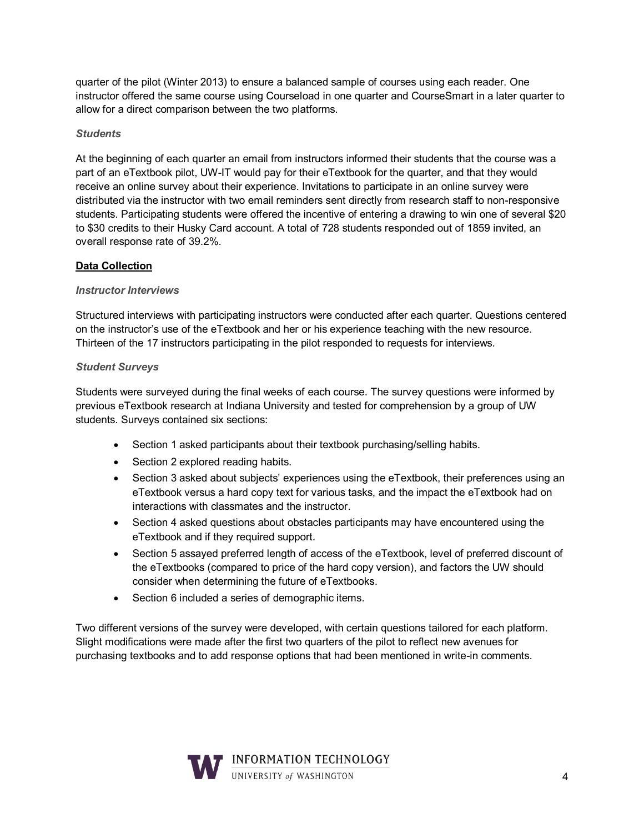quarter of the pilot (Winter 2013) to ensure a balanced sample of courses using each reader. One instructor offered the same course using Courseload in one quarter and CourseSmart in a later quarter to allow for a direct comparison between the two platforms.

#### *Students*

At the beginning of each quarter an email from instructors informed their students that the course was a part of an eTextbook pilot, UW-IT would pay for their eTextbook for the quarter, and that they would receive an online survey about their experience. Invitations to participate in an online survey were distributed via the instructor with two email reminders sent directly from research staff to non-responsive students. Participating students were offered the incentive of entering a drawing to win one of several \$20 to \$30 credits to their Husky Card account. A total of 728 students responded out of 1859 invited, an overall response rate of 39.2%.

#### **Data Collection**

#### *Instructor Interviews*

Structured interviews with participating instructors were conducted after each quarter. Questions centered on the instructor's use of the eTextbook and her or his experience teaching with the new resource. Thirteen of the 17 instructors participating in the pilot responded to requests for interviews.

#### *Student Surveys*

Students were surveyed during the final weeks of each course. The survey questions were informed by previous eTextbook research at Indiana University and tested for comprehension by a group of UW students. Surveys contained six sections:

- Section 1 asked participants about their textbook purchasing/selling habits.
- Section 2 explored reading habits.
- Section 3 asked about subjects' experiences using the eTextbook, their preferences using an eTextbook versus a hard copy text for various tasks, and the impact the eTextbook had on interactions with classmates and the instructor.
- Section 4 asked questions about obstacles participants may have encountered using the eTextbook and if they required support.
- Section 5 assayed preferred length of access of the eTextbook, level of preferred discount of the eTextbooks (compared to price of the hard copy version), and factors the UW should consider when determining the future of eTextbooks.
- Section 6 included a series of demographic items.

Two different versions of the survey were developed, with certain questions tailored for each platform. Slight modifications were made after the first two quarters of the pilot to reflect new avenues for purchasing textbooks and to add response options that had been mentioned in write-in comments.

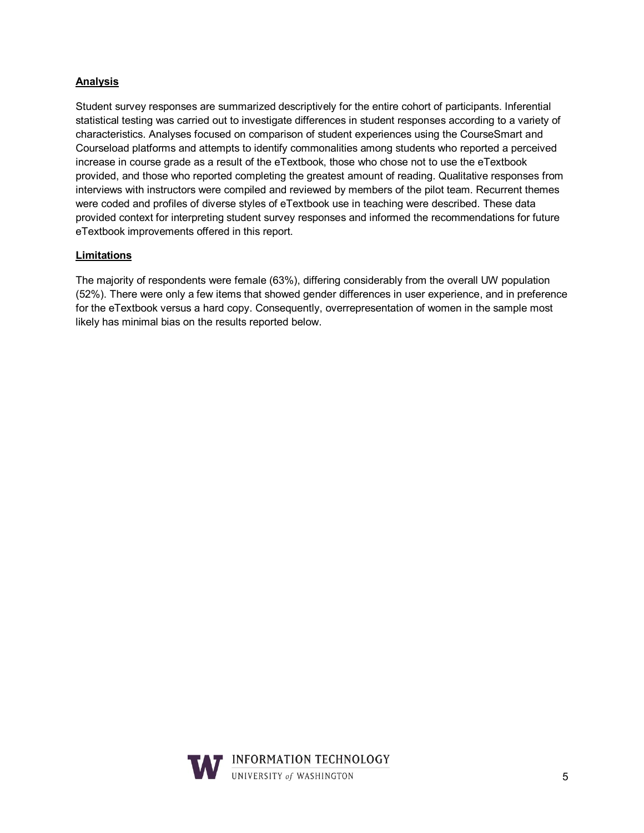#### **Analysis**

Student survey responses are summarized descriptively for the entire cohort of participants. Inferential statistical testing was carried out to investigate differences in student responses according to a variety of characteristics. Analyses focused on comparison of student experiences using the CourseSmart and Courseload platforms and attempts to identify commonalities among students who reported a perceived increase in course grade as a result of the eTextbook, those who chose not to use the eTextbook provided, and those who reported completing the greatest amount of reading. Qualitative responses from interviews with instructors were compiled and reviewed by members of the pilot team. Recurrent themes were coded and profiles of diverse styles of eTextbook use in teaching were described. These data provided context for interpreting student survey responses and informed the recommendations for future eTextbook improvements offered in this report.

#### **Limitations**

The majority of respondents were female (63%), differing considerably from the overall UW population (52%). There were only a few items that showed gender differences in user experience, and in preference for the eTextbook versus a hard copy. Consequently, overrepresentation of women in the sample most likely has minimal bias on the results reported below.

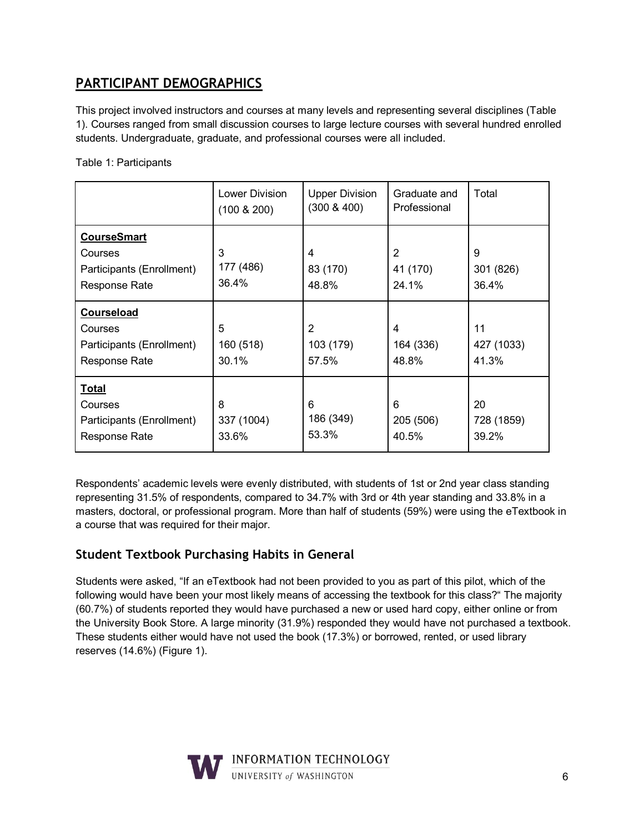## **PARTICIPANT DEMOGRAPHICS**

This project involved instructors and courses at many levels and representing several disciplines (Table 1). Courses ranged from small discussion courses to large lecture courses with several hundred enrolled students. Undergraduate, graduate, and professional courses were all included.

|  | Table 1: Participants |  |
|--|-----------------------|--|
|  |                       |  |

|                                                                                    | Lower Division<br>$(100 \& 200)$ | <b>Upper Division</b><br>$(300 \& 400)$ | Graduate and<br>Professional | Total                     |
|------------------------------------------------------------------------------------|----------------------------------|-----------------------------------------|------------------------------|---------------------------|
| <b>CourseSmart</b><br>Courses<br>Participants (Enrollment)<br><b>Response Rate</b> | 3<br>177 (486)<br>36.4%          | 4<br>83 (170)<br>48.8%                  | 2<br>41 (170)<br>24.1%       | 9<br>301 (826)<br>36.4%   |
| <b>Courseload</b><br>Courses<br>Participants (Enrollment)<br>Response Rate         | 5<br>160 (518)<br>30.1%          | 2<br>103 (179)<br>57.5%                 | 4<br>164 (336)<br>48.8%      | 11<br>427 (1033)<br>41.3% |
| <b>Total</b><br>Courses<br>Participants (Enrollment)<br>Response Rate              | 8<br>337 (1004)<br>33.6%         | 6<br>186 (349)<br>53.3%                 | 6<br>205 (506)<br>40.5%      | 20<br>728 (1859)<br>39.2% |

Respondents' academic levels were evenly distributed, with students of 1st or 2nd year class standing representing 31.5% of respondents, compared to 34.7% with 3rd or 4th year standing and 33.8% in a masters, doctoral, or professional program. More than half of students (59%) were using the eTextbook in a course that was required for their major.

## **Student Textbook Purchasing Habits in General**

Students were asked, "If an eTextbook had not been provided to you as part of this pilot, which of the following would have been your most likely means of accessing the textbook for this class?" The majority (60.7%) of students reported they would have purchased a new or used hard copy, either online or from the University Book Store. A large minority (31.9%) responded they would have not purchased a textbook. These students either would have not used the book (17.3%) or borrowed, rented, or used library reserves (14.6%) (Figure 1).

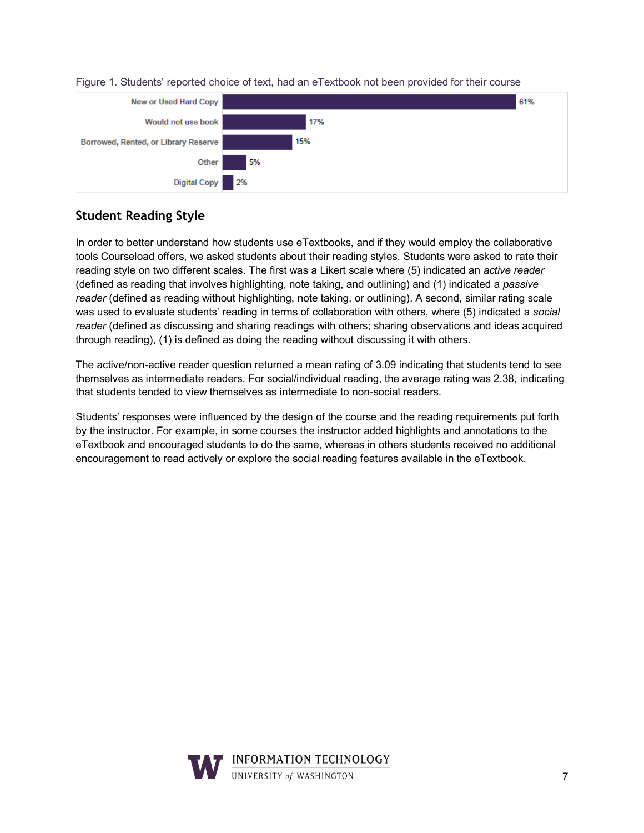

#### Figure 1. Students' reported choice of text, had an eTextbook not been provided for their course

## **Student Reading Style**

In order to better understand how students use eTextbooks, and if they would employ the collaborative tools Courseload offers, we asked students about their reading styles. Students were asked to rate their reading style on two different scales. The first was a Likert scale where (5) indicated an *active reader* (defined as reading that involves highlighting, note taking, and outlining) and (1) indicated a *passive reader* (defined as reading without highlighting, note taking, or outlining). A second, similar rating scale was used to evaluate students' reading in terms of collaboration with others, where (5) indicated a *social reader* (defined as discussing and sharing readings with others; sharing observations and ideas acquired through reading), (1) is defined as doing the reading without discussing it with others.

The active/non-active reader question returned a mean rating of 3.09 indicating that students tend to see themselves as intermediate readers. For social/individual reading, the average rating was 2.38, indicating that students tended to view themselves as intermediate to non-social readers.

Students' responses were influenced by the design of the course and the reading requirements put forth by the instructor. For example, in some courses the instructor added highlights and annotations to the eTextbook and encouraged students to do the same, whereas in others students received no additional encouragement to read actively or explore the social reading features available in the eTextbook.

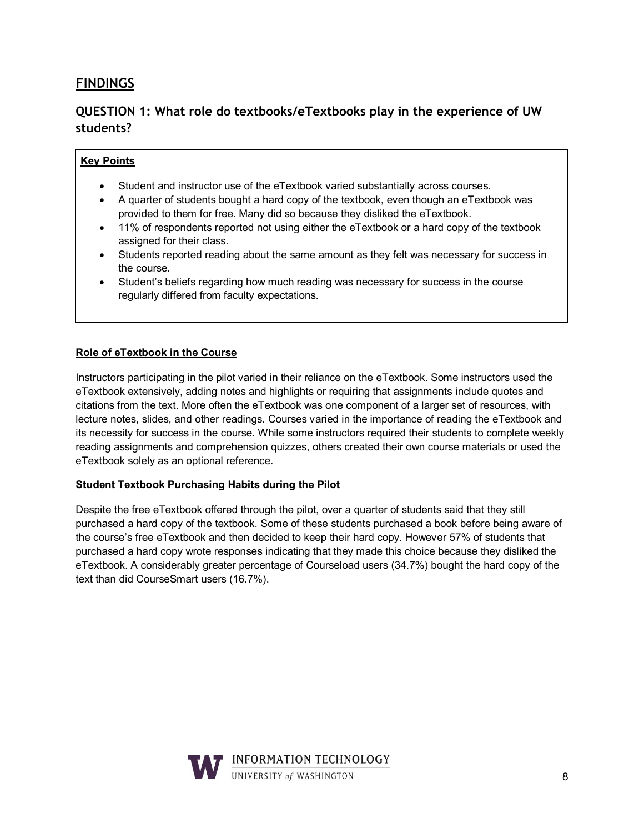## **FINDINGS**

## **QUESTION 1: What role do textbooks/eTextbooks play in the experience of UW students?**

#### **Key Points**

- Student and instructor use of the eTextbook varied substantially across courses.
- A quarter of students bought a hard copy of the textbook, even though an eTextbook was provided to them for free. Many did so because they disliked the eTextbook.
- 11% of respondents reported not using either the eTextbook or a hard copy of the textbook assigned for their class.
- Students reported reading about the same amount as they felt was necessary for success in the course.
- Student's beliefs regarding how much reading was necessary for success in the course regularly differed from faculty expectations.

#### **Role of eTextbook in the Course**

Instructors participating in the pilot varied in their reliance on the eTextbook. Some instructors used the eTextbook extensively, adding notes and highlights or requiring that assignments include quotes and citations from the text. More often the eTextbook was one component of a larger set of resources, with lecture notes, slides, and other readings. Courses varied in the importance of reading the eTextbook and its necessity for success in the course. While some instructors required their students to complete weekly reading assignments and comprehension quizzes, others created their own course materials or used the eTextbook solely as an optional reference.

#### **Student Textbook Purchasing Habits during the Pilot**

Despite the free eTextbook offered through the pilot, over a quarter of students said that they still purchased a hard copy of the textbook. Some of these students purchased a book before being aware of the course's free eTextbook and then decided to keep their hard copy. However 57% of students that purchased a hard copy wrote responses indicating that they made this choice because they disliked the eTextbook. A considerably greater percentage of Courseload users (34.7%) bought the hard copy of the text than did CourseSmart users (16.7%).

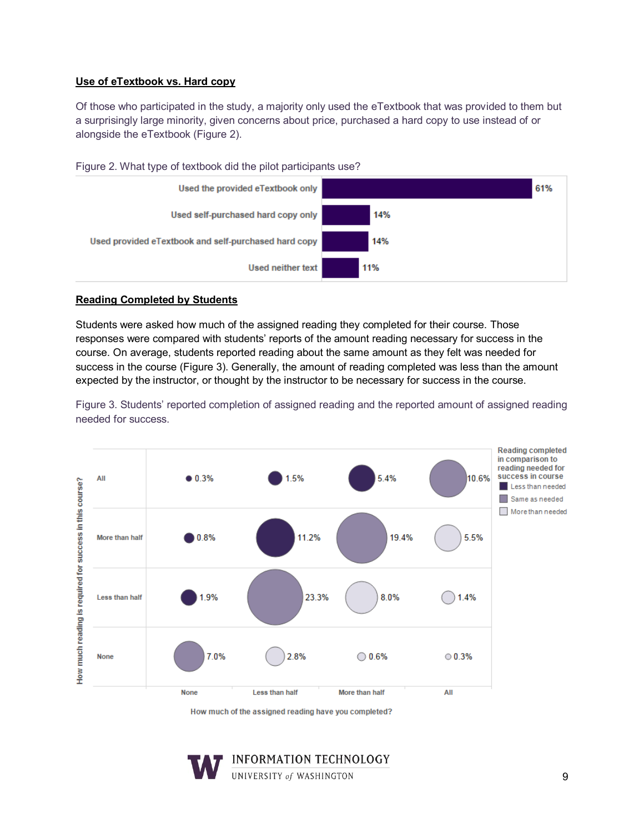#### **Use of eTextbook vs. Hard copy**

Of those who participated in the study, a majority only used the eTextbook that was provided to them but a surprisingly large minority, given concerns about price, purchased a hard copy to use instead of or alongside the eTextbook (Figure 2).



Figure 2. What type of textbook did the pilot participants use?

#### **Reading Completed by Students**

Students were asked how much of the assigned reading they completed for their course. Those responses were compared with students' reports of the amount reading necessary for success in the course. On average, students reported reading about the same amount as they felt was needed for success in the course (Figure 3). Generally, the amount of reading completed was less than the amount expected by the instructor, or thought by the instructor to be necessary for success in the course.

Figure 3. Students' reported completion of assigned reading and the reported amount of assigned reading needed for success.



How much of the assigned reading have you completed?

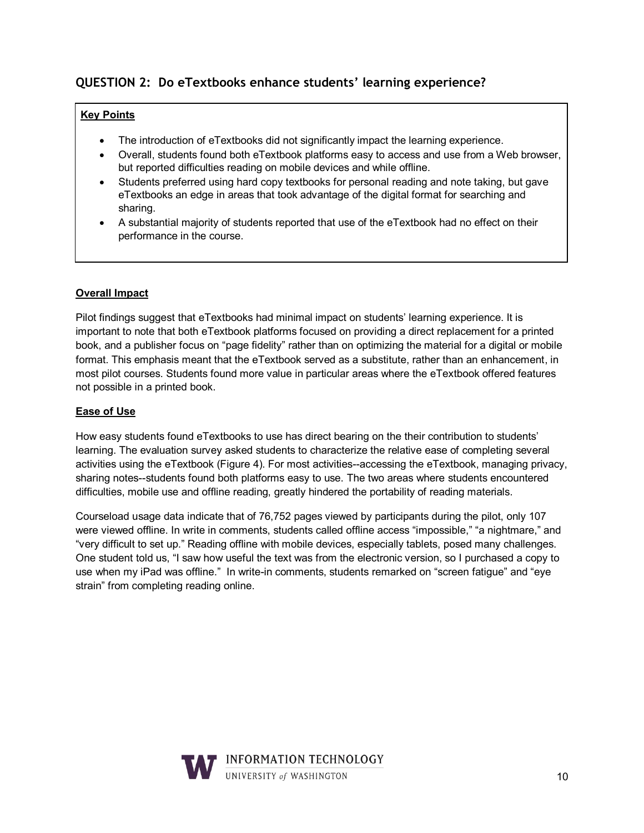## **QUESTION 2: Do eTextbooks enhance students' learning experience?**

#### **Key Points**

- The introduction of eTextbooks did not significantly impact the learning experience.
- Overall, students found both eTextbook platforms easy to access and use from a Web browser, but reported difficulties reading on mobile devices and while offline.
- Students preferred using hard copy textbooks for personal reading and note taking, but gave eTextbooks an edge in areas that took advantage of the digital format for searching and sharing.
- A substantial majority of students reported that use of the eTextbook had no effect on their performance in the course.

#### **Overall Impact**

Pilot findings suggest that eTextbooks had minimal impact on students' learning experience. It is important to note that both eTextbook platforms focused on providing a direct replacement for a printed book, and a publisher focus on "page fidelity" rather than on optimizing the material for a digital or mobile format. This emphasis meant that the eTextbook served as a substitute, rather than an enhancement, in most pilot courses. Students found more value in particular areas where the eTextbook offered features not possible in a printed book.

#### **Ease of Use**

How easy students found eTextbooks to use has direct bearing on the their contribution to students' learning. The evaluation survey asked students to characterize the relative ease of completing several activities using the eTextbook (Figure 4). For most activities--accessing the eTextbook, managing privacy, sharing notes--students found both platforms easy to use. The two areas where students encountered difficulties, mobile use and offline reading, greatly hindered the portability of reading materials.

Courseload usage data indicate that of 76,752 pages viewed by participants during the pilot, only 107 were viewed offline. In write in comments, students called offline access "impossible," "a nightmare," and "very difficult to set up." Reading offline with mobile devices, especially tablets, posed many challenges. One student told us, "I saw how useful the text was from the electronic version, so I purchased a copy to use when my iPad was offline." In write-in comments, students remarked on "screen fatigue" and "eye strain" from completing reading online.

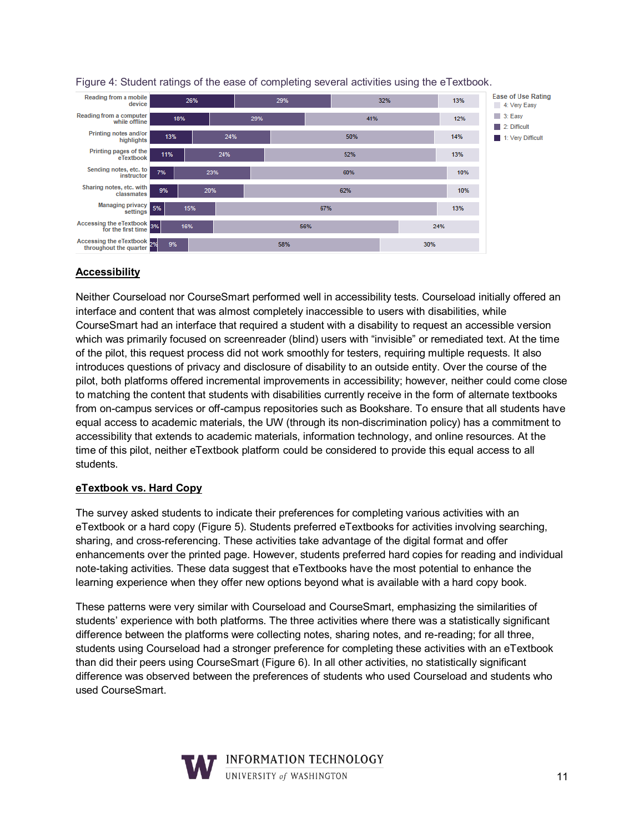

Figure 4: Student ratings of the ease of completing several activities using the eTextbook.

### **Accessibility**

Neither Courseload nor CourseSmart performed well in accessibility tests. Courseload initially offered an interface and content that was almost completely inaccessible to users with disabilities, while CourseSmart had an interface that required a student with a disability to request an accessible version which was primarily focused on screenreader (blind) users with "invisible" or remediated text. At the time of the pilot, this request process did not work smoothly for testers, requiring multiple requests. It also introduces questions of privacy and disclosure of disability to an outside entity. Over the course of the pilot, both platforms offered incremental improvements in accessibility; however, neither could come close to matching the content that students with disabilities currently receive in the form of alternate textbooks from on-campus services or off-campus repositories such as Bookshare. To ensure that all students have equal access to academic materials, the UW (through its non-discrimination policy) has a commitment to accessibility that extends to academic materials, information technology, and online resources. At the time of this pilot, neither eTextbook platform could be considered to provide this equal access to all students.

### **eTextbook vs. Hard Copy**

The survey asked students to indicate their preferences for completing various activities with an eTextbook or a hard copy (Figure 5). Students preferred eTextbooks for activities involving searching, sharing, and cross-referencing. These activities take advantage of the digital format and offer enhancements over the printed page. However, students preferred hard copies for reading and individual note-taking activities. These data suggest that eTextbooks have the most potential to enhance the learning experience when they offer new options beyond what is available with a hard copy book.

These patterns were very similar with Courseload and CourseSmart, emphasizing the similarities of students' experience with both platforms. The three activities where there was a statistically significant difference between the platforms were collecting notes, sharing notes, and re-reading; for all three, students using Courseload had a stronger preference for completing these activities with an eTextbook than did their peers using CourseSmart (Figure 6). In all other activities, no statistically significant difference was observed between the preferences of students who used Courseload and students who used CourseSmart.

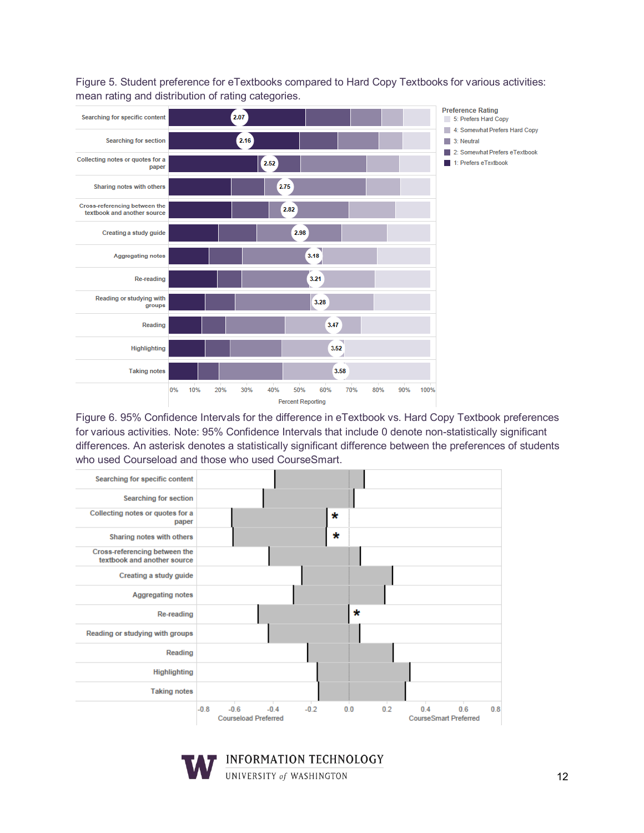

Figure 5. Student preference for eTextbooks compared to Hard Copy Textbooks for various activities: mean rating and distribution of rating categories.

Figure 6. 95% Confidence Intervals for the difference in eTextbook vs. Hard Copy Textbook preferences for various activities. Note: 95% Confidence Intervals that include 0 denote non-statistically significant differences. An asterisk denotes a statistically significant difference between the preferences of students who used Courseload and those who used CourseSmart.



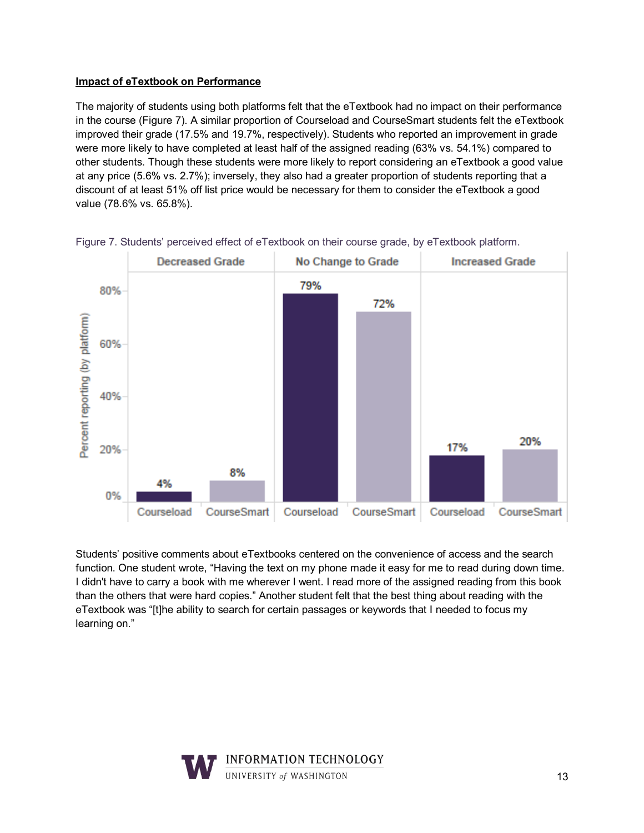### **Impact of eTextbook on Performance**

The majority of students using both platforms felt that the eTextbook had no impact on their performance in the course (Figure 7). A similar proportion of Courseload and CourseSmart students felt the eTextbook improved their grade (17.5% and 19.7%, respectively). Students who reported an improvement in grade were more likely to have completed at least half of the assigned reading (63% vs. 54.1%) compared to other students. Though these students were more likely to report considering an eTextbook a good value at any price (5.6% vs. 2.7%); inversely, they also had a greater proportion of students reporting that a discount of at least 51% off list price would be necessary for them to consider the eTextbook a good value (78.6% vs. 65.8%).



Figure 7. Students' perceived effect of eTextbook on their course grade, by eTextbook platform.

Students' positive comments about eTextbooks centered on the convenience of access and the search function. One student wrote, "Having the text on my phone made it easy for me to read during down time. I didn't have to carry a book with me wherever I went. I read more of the assigned reading from this book than the others that were hard copies." Another student felt that the best thing about reading with the eTextbook was "[t]he ability to search for certain passages or keywords that I needed to focus my learning on."

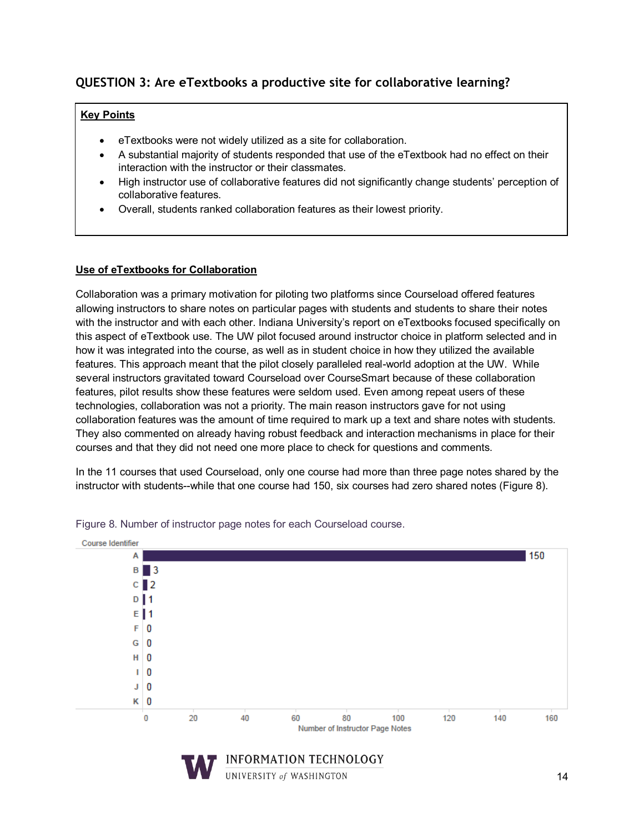## **QUESTION 3: Are eTextbooks a productive site for collaborative learning?**

#### **Key Points**

- eTextbooks were not widely utilized as a site for collaboration.
- A substantial majority of students responded that use of the eTextbook had no effect on their interaction with the instructor or their classmates.
- High instructor use of collaborative features did not significantly change students' perception of collaborative features.
- Overall, students ranked collaboration features as their lowest priority.

#### **Use of eTextbooks for Collaboration**

Collaboration was a primary motivation for piloting two platforms since Courseload offered features allowing instructors to share notes on particular pages with students and students to share their notes with the instructor and with each other. Indiana University's report on eTextbooks focused specifically on this aspect of eTextbook use. The UW pilot focused around instructor choice in platform selected and in how it was integrated into the course, as well as in student choice in how they utilized the available features. This approach meant that the pilot closely paralleled real-world adoption at the UW. While several instructors gravitated toward Courseload over CourseSmart because of these collaboration features, pilot results show these features were seldom used. Even among repeat users of these technologies, collaboration was not a priority. The main reason instructors gave for not using collaboration features was the amount of time required to mark up a text and share notes with students. They also commented on already having robust feedback and interaction mechanisms in place for their courses and that they did not need one more place to check for questions and comments.

In the 11 courses that used Courseload, only one course had more than three page notes shared by the instructor with students--while that one course had 150, six courses had zero shared notes (Figure 8).



Figure 8. Number of instructor page notes for each Courseload course.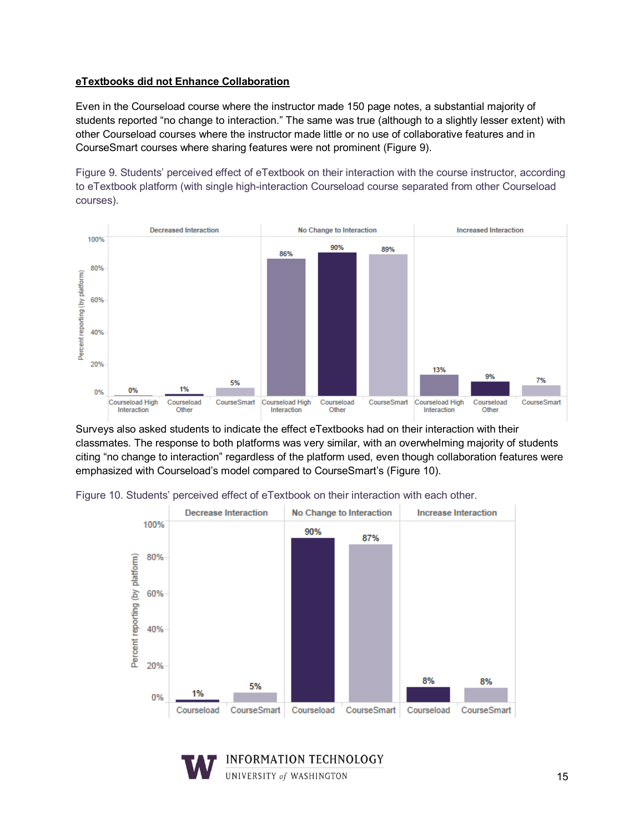#### **eTextbooks did not Enhance Collaboration**

Even in the Courseload course where the instructor made 150 page notes, a substantial majority of students reported "no change to interaction." The same was true (although to a slightly lesser extent) with other Courseload courses where the instructor made little or no use of collaborative features and in CourseSmart courses where sharing features were not prominent (Figure 9).

Figure 9. Students' perceived effect of eTextbook on their interaction with the course instructor, according to eTextbook platform (with single high-interaction Courseload course separated from other Courseload courses).



Surveys also asked students to indicate the effect eTextbooks had on their interaction with their classmates. The response to both platforms was very similar, with an overwhelming majority of students citing "no change to interaction" regardless of the platform used, even though collaboration features were emphasized with Courseload's model compared to CourseSmart's (Figure 10).



Figure 10. Students' perceived effect of eTextbook on their interaction with each other.

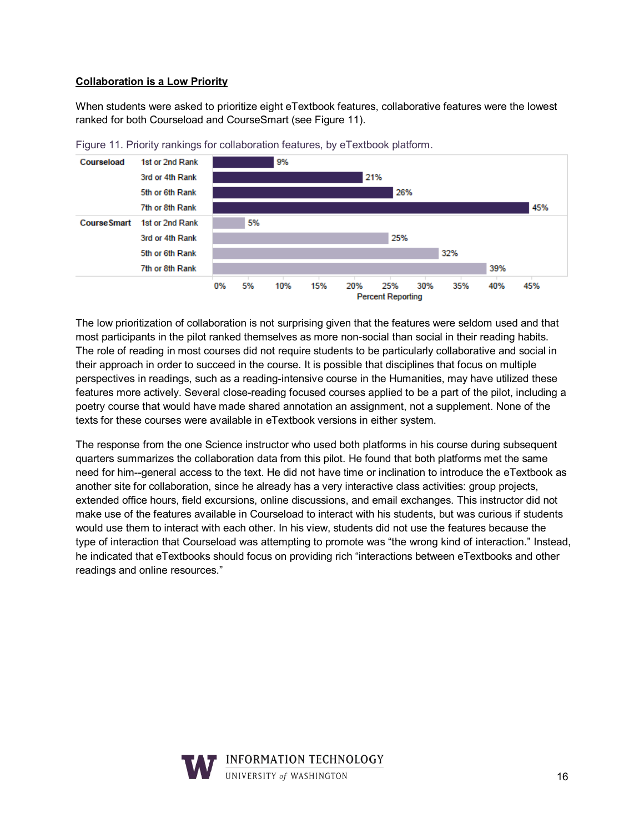#### **Collaboration is a Low Priority**

When students were asked to prioritize eight eTextbook features, collaborative features were the lowest ranked for both Courseload and CourseSmart (see Figure 11).



Figure 11. Priority rankings for collaboration features, by eTextbook platform.

The low prioritization of collaboration is not surprising given that the features were seldom used and that most participants in the pilot ranked themselves as more non-social than social in their reading habits. The role of reading in most courses did not require students to be particularly collaborative and social in their approach in order to succeed in the course. It is possible that disciplines that focus on multiple perspectives in readings, such as a reading-intensive course in the Humanities, may have utilized these features more actively. Several close-reading focused courses applied to be a part of the pilot, including a poetry course that would have made shared annotation an assignment, not a supplement. None of the texts for these courses were available in eTextbook versions in either system.

The response from the one Science instructor who used both platforms in his course during subsequent quarters summarizes the collaboration data from this pilot. He found that both platforms met the same need for him--general access to the text. He did not have time or inclination to introduce the eTextbook as another site for collaboration, since he already has a very interactive class activities: group projects, extended office hours, field excursions, online discussions, and email exchanges. This instructor did not make use of the features available in Courseload to interact with his students, but was curious if students would use them to interact with each other. In his view, students did not use the features because the type of interaction that Courseload was attempting to promote was "the wrong kind of interaction." Instead, he indicated that eTextbooks should focus on providing rich "interactions between eTextbooks and other readings and online resources."

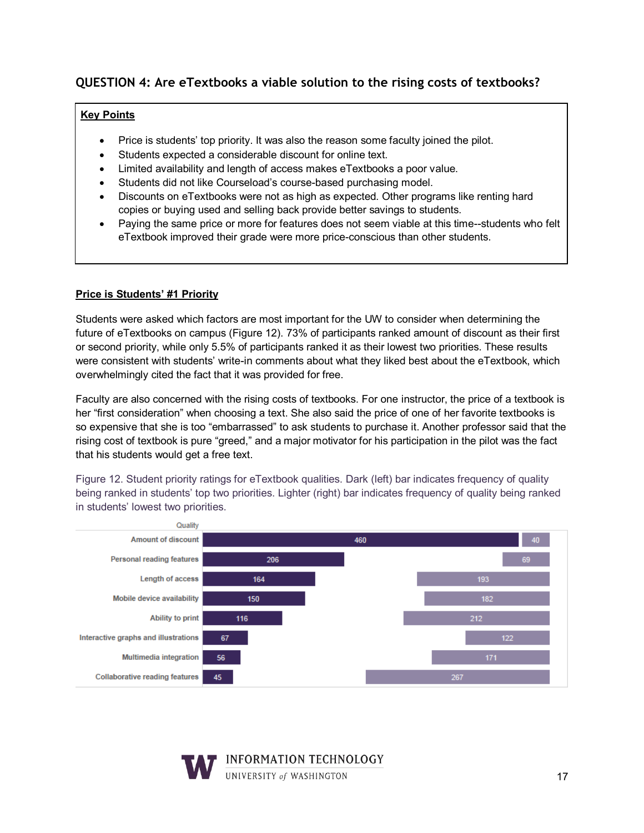## **QUESTION 4: Are eTextbooks a viable solution to the rising costs of textbooks?**

#### **Key Points**

- Price is students' top priority. It was also the reason some faculty joined the pilot.
- Students expected a considerable discount for online text.
- Limited availability and length of access makes eTextbooks a poor value.
- Students did not like Courseload's course-based purchasing model.
- Discounts on eTextbooks were not as high as expected. Other programs like renting hard copies or buying used and selling back provide better savings to students.
- Paying the same price or more for features does not seem viable at this time--students who felt eTextbook improved their grade were more price-conscious than other students.

#### **Price is Students' #1 Priority**

Students were asked which factors are most important for the UW to consider when determining the future of eTextbooks on campus (Figure 12). 73% of participants ranked amount of discount as their first or second priority, while only 5.5% of participants ranked it as their lowest two priorities. These results were consistent with students' write-in comments about what they liked best about the eTextbook, which overwhelmingly cited the fact that it was provided for free.

Faculty are also concerned with the rising costs of textbooks. For one instructor, the price of a textbook is her "first consideration" when choosing a text. She also said the price of one of her favorite textbooks is so expensive that she is too "embarrassed" to ask students to purchase it. Another professor said that the rising cost of textbook is pure "greed," and a major motivator for his participation in the pilot was the fact that his students would get a free text.

Figure 12. Student priority ratings for eTextbook qualities. Dark (left) bar indicates frequency of quality being ranked in students' top two priorities. Lighter (right) bar indicates frequency of quality being ranked in students' lowest two priorities.



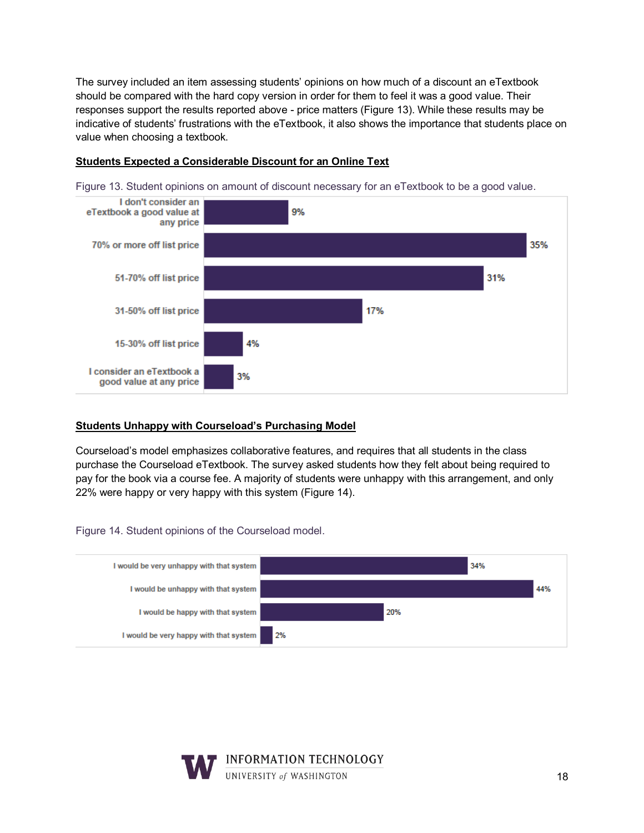The survey included an item assessing students' opinions on how much of a discount an eTextbook should be compared with the hard copy version in order for them to feel it was a good value. Their responses support the results reported above - price matters (Figure 13). While these results may be indicative of students' frustrations with the eTextbook, it also shows the importance that students place on value when choosing a textbook.



Figure 13. Student opinions on amount of discount necessary for an eTextbook to be a good value.



#### **Students Unhappy with Courseload's Purchasing Model**

Courseload's model emphasizes collaborative features, and requires that all students in the class purchase the Courseload eTextbook. The survey asked students how they felt about being required to pay for the book via a course fee. A majority of students were unhappy with this arrangement, and only 22% were happy or very happy with this system (Figure 14).

Figure 14. Student opinions of the Courseload model.



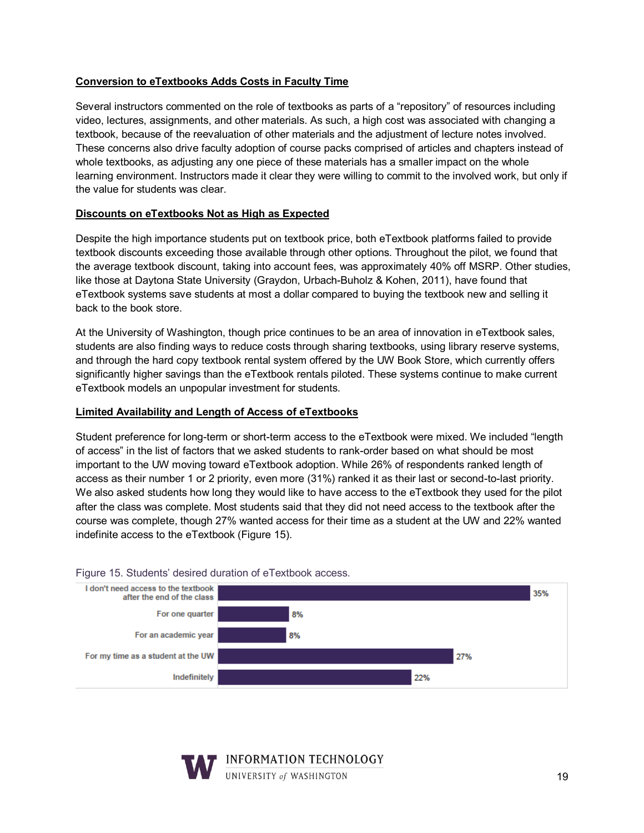#### **Conversion to eTextbooks Adds Costs in Faculty Time**

Several instructors commented on the role of textbooks as parts of a "repository" of resources including video, lectures, assignments, and other materials. As such, a high cost was associated with changing a textbook, because of the reevaluation of other materials and the adjustment of lecture notes involved. These concerns also drive faculty adoption of course packs comprised of articles and chapters instead of whole textbooks, as adjusting any one piece of these materials has a smaller impact on the whole learning environment. Instructors made it clear they were willing to commit to the involved work, but only if the value for students was clear.

#### **Discounts on eTextbooks Not as High as Expected**

Despite the high importance students put on textbook price, both eTextbook platforms failed to provide textbook discounts exceeding those available through other options. Throughout the pilot, we found that the average textbook discount, taking into account fees, was approximately 40% off MSRP. Other studies, like those at Daytona State University (Graydon, Urbach-Buholz & Kohen, 2011), have found that eTextbook systems save students at most a dollar compared to buying the textbook new and selling it back to the book store.

At the University of Washington, though price continues to be an area of innovation in eTextbook sales, students are also finding ways to reduce costs through sharing textbooks, using library reserve systems, and through the hard copy textbook rental system offered by the UW Book Store, which currently offers significantly higher savings than the eTextbook rentals piloted. These systems continue to make current eTextbook models an unpopular investment for students.

#### **Limited Availability and Length of Access of eTextbooks**

Student preference for long-term or short-term access to the eTextbook were mixed. We included "length of access" in the list of factors that we asked students to rank-order based on what should be most important to the UW moving toward eTextbook adoption. While 26% of respondents ranked length of access as their number 1 or 2 priority, even more (31%) ranked it as their last or second-to-last priority. We also asked students how long they would like to have access to the eTextbook they used for the pilot after the class was complete. Most students said that they did not need access to the textbook after the course was complete, though 27% wanted access for their time as a student at the UW and 22% wanted indefinite access to the eTextbook (Figure 15).



#### Figure 15. Students' desired duration of eTextbook access.

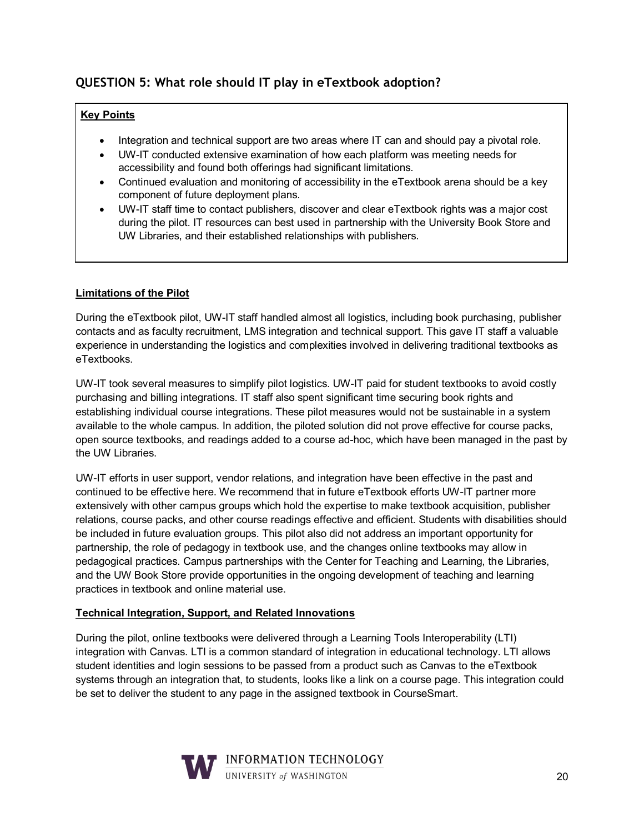## **QUESTION 5: What role should IT play in eTextbook adoption?**

#### **Key Points**

- Integration and technical support are two areas where IT can and should pay a pivotal role.
- UW-IT conducted extensive examination of how each platform was meeting needs for accessibility and found both offerings had significant limitations.
- Continued evaluation and monitoring of accessibility in the eTextbook arena should be a key component of future deployment plans.
- UW-IT staff time to contact publishers, discover and clear eTextbook rights was a major cost during the pilot. IT resources can best used in partnership with the University Book Store and UW Libraries, and their established relationships with publishers.

#### **Limitations of the Pilot**

During the eTextbook pilot, UW-IT staff handled almost all logistics, including book purchasing, publisher contacts and as faculty recruitment, LMS integration and technical support. This gave IT staff a valuable experience in understanding the logistics and complexities involved in delivering traditional textbooks as eTextbooks.

UW-IT took several measures to simplify pilot logistics. UW-IT paid for student textbooks to avoid costly purchasing and billing integrations. IT staff also spent significant time securing book rights and establishing individual course integrations. These pilot measures would not be sustainable in a system available to the whole campus. In addition, the piloted solution did not prove effective for course packs, open source textbooks, and readings added to a course ad-hoc, which have been managed in the past by the UW Libraries.

UW-IT efforts in user support, vendor relations, and integration have been effective in the past and continued to be effective here. We recommend that in future eTextbook efforts UW-IT partner more extensively with other campus groups which hold the expertise to make textbook acquisition, publisher relations, course packs, and other course readings effective and efficient. Students with disabilities should be included in future evaluation groups. This pilot also did not address an important opportunity for partnership, the role of pedagogy in textbook use, and the changes online textbooks may allow in pedagogical practices. Campus partnerships with the Center for Teaching and Learning, the Libraries, and the UW Book Store provide opportunities in the ongoing development of teaching and learning practices in textbook and online material use.

#### **Technical Integration, Support, and Related Innovations**

During the pilot, online textbooks were delivered through a Learning Tools Interoperability (LTI) integration with Canvas. LTI is a common standard of integration in educational technology. LTI allows student identities and login sessions to be passed from a product such as Canvas to the eTextbook systems through an integration that, to students, looks like a link on a course page. This integration could be set to deliver the student to any page in the assigned textbook in CourseSmart.

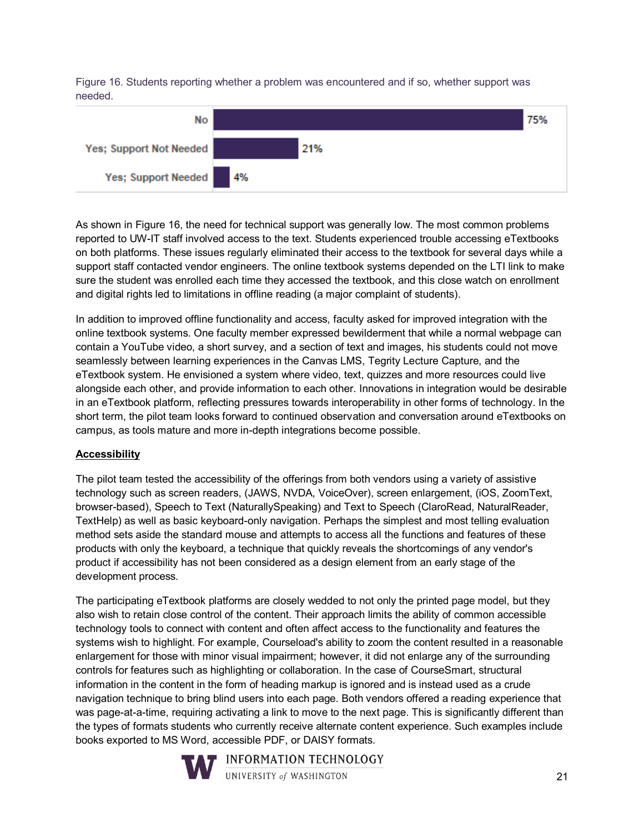Figure 16. Students reporting whether a problem was encountered and if so, whether support was needed.



As shown in Figure 16, the need for technical support was generally low. The most common problems reported to UW-IT staff involved access to the text. Students experienced trouble accessing eTextbooks on both platforms. These issues regularly eliminated their access to the textbook for several days while a support staff contacted vendor engineers. The online textbook systems depended on the LTI link to make sure the student was enrolled each time they accessed the textbook, and this close watch on enrollment and digital rights led to limitations in offline reading (a major complaint of students).

In addition to improved offline functionality and access, faculty asked for improved integration with the online textbook systems. One faculty member expressed bewilderment that while a normal webpage can contain a YouTube video, a short survey, and a section of text and images, his students could not move seamlessly between learning experiences in the Canvas LMS, Tegrity Lecture Capture, and the eTextbook system. He envisioned a system where video, text, quizzes and more resources could live alongside each other, and provide information to each other. Innovations in integration would be desirable in an eTextbook platform, reflecting pressures towards interoperability in other forms of technology. In the short term, the pilot team looks forward to continued observation and conversation around eTextbooks on campus, as tools mature and more in-depth integrations become possible.

#### **Accessibility**

The pilot team tested the accessibility of the offerings from both vendors using a variety of assistive technology such as screen readers, (JAWS, NVDA, VoiceOver), screen enlargement, (iOS, ZoomText, browser-based), Speech to Text (NaturallySpeaking) and Text to Speech (ClaroRead, NaturalReader, TextHelp) as well as basic keyboard-only navigation. Perhaps the simplest and most telling evaluation method sets aside the standard mouse and attempts to access all the functions and features of these products with only the keyboard, a technique that quickly reveals the shortcomings of any vendor's product if accessibility has not been considered as a design element from an early stage of the development process.

The participating eTextbook platforms are closely wedded to not only the printed page model, but they also wish to retain close control of the content. Their approach limits the ability of common accessible technology tools to connect with content and often affect access to the functionality and features the systems wish to highlight. For example, Courseload's ability to zoom the content resulted in a reasonable enlargement for those with minor visual impairment; however, it did not enlarge any of the surrounding controls for features such as highlighting or collaboration. In the case of CourseSmart, structural information in the content in the form of heading markup is ignored and is instead used as a crude navigation technique to bring blind users into each page. Both vendors offered a reading experience that was page-at-a-time, requiring activating a link to move to the next page. This is significantly different than the types of formats students who currently receive alternate content experience. Such examples include books exported to MS Word, accessible PDF, or DAISY formats.



**INFORMATION TECHNOLOGY** UNIVERSITY of WASHINGTON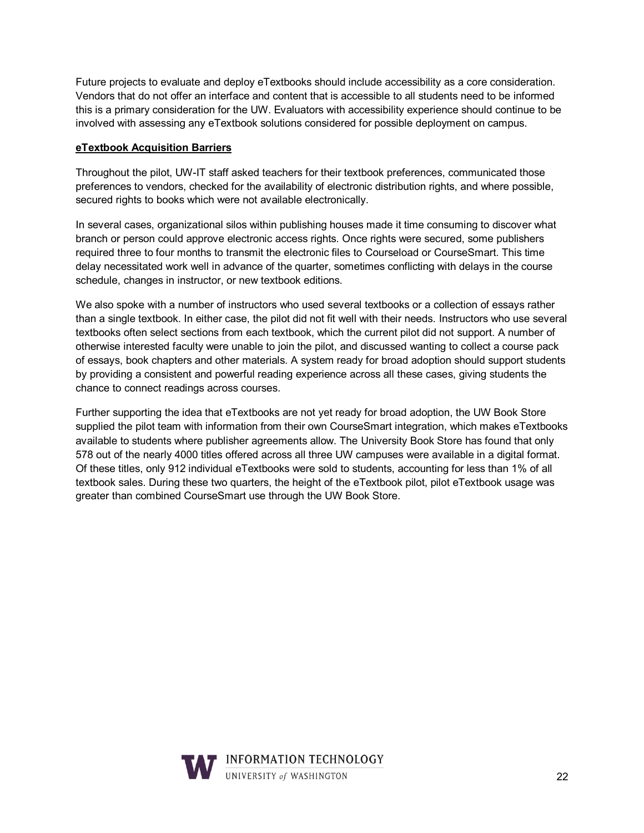Future projects to evaluate and deploy eTextbooks should include accessibility as a core consideration. Vendors that do not offer an interface and content that is accessible to all students need to be informed this is a primary consideration for the UW. Evaluators with accessibility experience should continue to be involved with assessing any eTextbook solutions considered for possible deployment on campus.

#### **eTextbook Acquisition Barriers**

Throughout the pilot, UW-IT staff asked teachers for their textbook preferences, communicated those preferences to vendors, checked for the availability of electronic distribution rights, and where possible, secured rights to books which were not available electronically.

In several cases, organizational silos within publishing houses made it time consuming to discover what branch or person could approve electronic access rights. Once rights were secured, some publishers required three to four months to transmit the electronic files to Courseload or CourseSmart. This time delay necessitated work well in advance of the quarter, sometimes conflicting with delays in the course schedule, changes in instructor, or new textbook editions.

We also spoke with a number of instructors who used several textbooks or a collection of essays rather than a single textbook. In either case, the pilot did not fit well with their needs. Instructors who use several textbooks often select sections from each textbook, which the current pilot did not support. A number of otherwise interested faculty were unable to join the pilot, and discussed wanting to collect a course pack of essays, book chapters and other materials. A system ready for broad adoption should support students by providing a consistent and powerful reading experience across all these cases, giving students the chance to connect readings across courses.

Further supporting the idea that eTextbooks are not yet ready for broad adoption, the UW Book Store supplied the pilot team with information from their own CourseSmart integration, which makes eTextbooks available to students where publisher agreements allow. The University Book Store has found that only 578 out of the nearly 4000 titles offered across all three UW campuses were available in a digital format. Of these titles, only 912 individual eTextbooks were sold to students, accounting for less than 1% of all textbook sales. During these two quarters, the height of the eTextbook pilot, pilot eTextbook usage was greater than combined CourseSmart use through the UW Book Store.

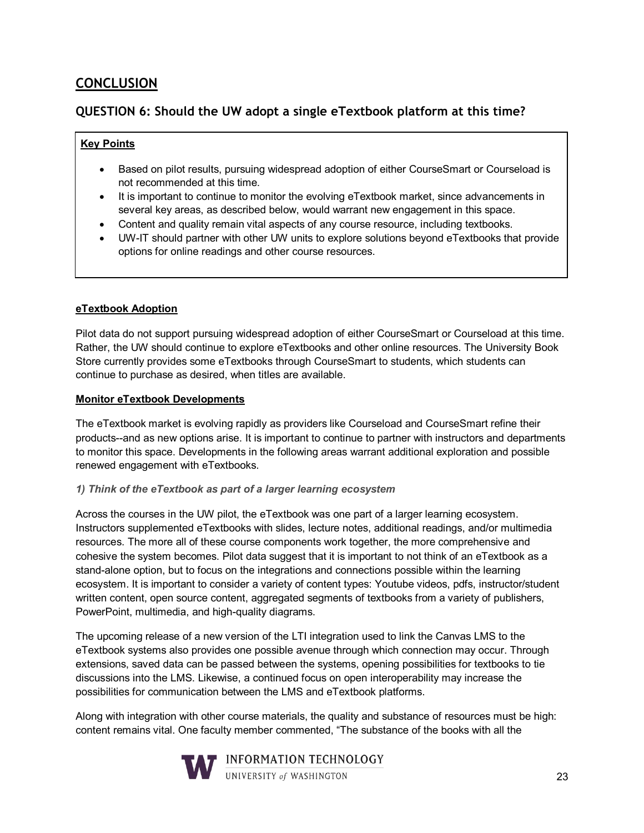## **CONCLUSION**

### **QUESTION 6: Should the UW adopt a single eTextbook platform at this time?**

#### **Key Points**

- Based on pilot results, pursuing widespread adoption of either CourseSmart or Courseload is not recommended at this time.
- It is important to continue to monitor the evolving eTextbook market, since advancements in several key areas, as described below, would warrant new engagement in this space.
- Content and quality remain vital aspects of any course resource, including textbooks.
- UW-IT should partner with other UW units to explore solutions beyond eTextbooks that provide options for online readings and other course resources.

#### **eTextbook Adoption**

Pilot data do not support pursuing widespread adoption of either CourseSmart or Courseload at this time. Rather, the UW should continue to explore eTextbooks and other online resources. The University Book Store currently provides some eTextbooks through CourseSmart to students, which students can continue to purchase as desired, when titles are available.

#### **Monitor eTextbook Developments**

The eTextbook market is evolving rapidly as providers like Courseload and CourseSmart refine their products--and as new options arise. It is important to continue to partner with instructors and departments to monitor this space. Developments in the following areas warrant additional exploration and possible renewed engagement with eTextbooks.

#### *1) Think of the eTextbook as part of a larger learning ecosystem*

Across the courses in the UW pilot, the eTextbook was one part of a larger learning ecosystem. Instructors supplemented eTextbooks with slides, lecture notes, additional readings, and/or multimedia resources. The more all of these course components work together, the more comprehensive and cohesive the system becomes. Pilot data suggest that it is important to not think of an eTextbook as a stand-alone option, but to focus on the integrations and connections possible within the learning ecosystem. It is important to consider a variety of content types: Youtube videos, pdfs, instructor/student written content, open source content, aggregated segments of textbooks from a variety of publishers, PowerPoint, multimedia, and high-quality diagrams.

The upcoming release of a new version of the LTI integration used to link the Canvas LMS to the eTextbook systems also provides one possible avenue through which connection may occur. Through extensions, saved data can be passed between the systems, opening possibilities for textbooks to tie discussions into the LMS. Likewise, a continued focus on open interoperability may increase the possibilities for communication between the LMS and eTextbook platforms.

Along with integration with other course materials, the quality and substance of resources must be high: content remains vital. One faculty member commented, "The substance of the books with all the

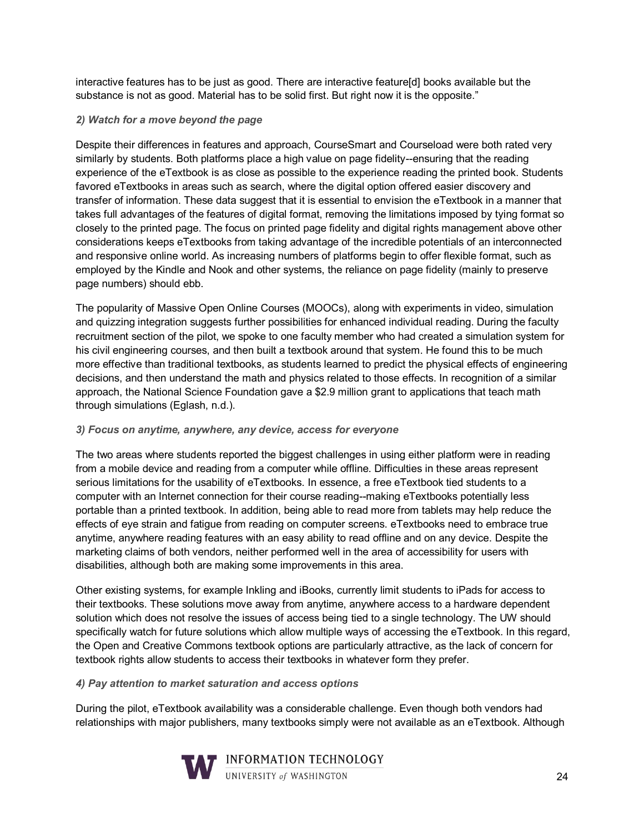interactive features has to be just as good. There are interactive feature[d] books available but the substance is not as good. Material has to be solid first. But right now it is the opposite."

#### *2) Watch for a move beyond the page*

Despite their differences in features and approach, CourseSmart and Courseload were both rated very similarly by students. Both platforms place a high value on page fidelity--ensuring that the reading experience of the eTextbook is as close as possible to the experience reading the printed book. Students favored eTextbooks in areas such as search, where the digital option offered easier discovery and transfer of information. These data suggest that it is essential to envision the eTextbook in a manner that takes full advantages of the features of digital format, removing the limitations imposed by tying format so closely to the printed page. The focus on printed page fidelity and digital rights management above other considerations keeps eTextbooks from taking advantage of the incredible potentials of an interconnected and responsive online world. As increasing numbers of platforms begin to offer flexible format, such as employed by the Kindle and Nook and other systems, the reliance on page fidelity (mainly to preserve page numbers) should ebb.

The popularity of Massive Open Online Courses (MOOCs), along with experiments in video, simulation and quizzing integration suggests further possibilities for enhanced individual reading. During the faculty recruitment section of the pilot, we spoke to one faculty member who had created a simulation system for his civil engineering courses, and then built a textbook around that system. He found this to be much more effective than traditional textbooks, as students learned to predict the physical effects of engineering decisions, and then understand the math and physics related to those effects. In recognition of a similar approach, the National Science Foundation gave a \$2.9 million grant to applications that teach math through simulations (Eglash, n.d.).

#### *3) Focus on anytime, anywhere, any device, access for everyone*

The two areas where students reported the biggest challenges in using either platform were in reading from a mobile device and reading from a computer while offline. Difficulties in these areas represent serious limitations for the usability of eTextbooks. In essence, a free eTextbook tied students to a computer with an Internet connection for their course reading--making eTextbooks potentially less portable than a printed textbook. In addition, being able to read more from tablets may help reduce the effects of eye strain and fatigue from reading on computer screens. eTextbooks need to embrace true anytime, anywhere reading features with an easy ability to read offline and on any device. Despite the marketing claims of both vendors, neither performed well in the area of accessibility for users with disabilities, although both are making some improvements in this area.

Other existing systems, for example Inkling and iBooks, currently limit students to iPads for access to their textbooks. These solutions move away from anytime, anywhere access to a hardware dependent solution which does not resolve the issues of access being tied to a single technology. The UW should specifically watch for future solutions which allow multiple ways of accessing the eTextbook. In this regard, the Open and Creative Commons textbook options are particularly attractive, as the lack of concern for textbook rights allow students to access their textbooks in whatever form they prefer.

#### *4) Pay attention to market saturation and access options*

During the pilot, eTextbook availability was a considerable challenge. Even though both vendors had relationships with major publishers, many textbooks simply were not available as an eTextbook. Although

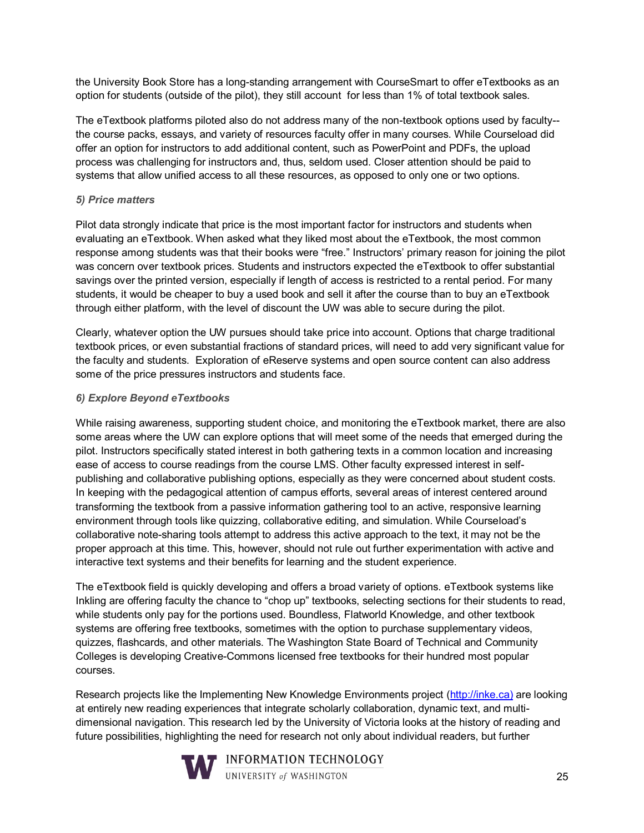the University Book Store has a long-standing arrangement with CourseSmart to offer eTextbooks as an option for students (outside of the pilot), they still account for less than 1% of total textbook sales.

The eTextbook platforms piloted also do not address many of the non-textbook options used by faculty- the course packs, essays, and variety of resources faculty offer in many courses. While Courseload did offer an option for instructors to add additional content, such as PowerPoint and PDFs, the upload process was challenging for instructors and, thus, seldom used. Closer attention should be paid to systems that allow unified access to all these resources, as opposed to only one or two options.

#### *5) Price matters*

Pilot data strongly indicate that price is the most important factor for instructors and students when evaluating an eTextbook. When asked what they liked most about the eTextbook, the most common response among students was that their books were "free." Instructors' primary reason for joining the pilot was concern over textbook prices. Students and instructors expected the eTextbook to offer substantial savings over the printed version, especially if length of access is restricted to a rental period. For many students, it would be cheaper to buy a used book and sell it after the course than to buy an eTextbook through either platform, with the level of discount the UW was able to secure during the pilot.

Clearly, whatever option the UW pursues should take price into account. Options that charge traditional textbook prices, or even substantial fractions of standard prices, will need to add very significant value for the faculty and students. Exploration of eReserve systems and open source content can also address some of the price pressures instructors and students face.

#### *6) Explore Beyond eTextbooks*

While raising awareness, supporting student choice, and monitoring the eTextbook market, there are also some areas where the UW can explore options that will meet some of the needs that emerged during the pilot. Instructors specifically stated interest in both gathering texts in a common location and increasing ease of access to course readings from the course LMS. Other faculty expressed interest in selfpublishing and collaborative publishing options, especially as they were concerned about student costs. In keeping with the pedagogical attention of campus efforts, several areas of interest centered around transforming the textbook from a passive information gathering tool to an active, responsive learning environment through tools like quizzing, collaborative editing, and simulation. While Courseload's collaborative note-sharing tools attempt to address this active approach to the text, it may not be the proper approach at this time. This, however, should not rule out further experimentation with active and interactive text systems and their benefits for learning and the student experience.

The eTextbook field is quickly developing and offers a broad variety of options. eTextbook systems like Inkling are offering faculty the chance to "chop up" textbooks, selecting sections for their students to read, while students only pay for the portions used. Boundless, Flatworld Knowledge, and other textbook systems are offering free textbooks, sometimes with the option to purchase supplementary videos, quizzes, flashcards, and other materials. The Washington State Board of Technical and Community Colleges is developing Creative-Commons licensed free textbooks for their hundred most popular courses.

Research projects like the Implementing New Knowledge Environments project [\(http://inke.ca\)](http://inke.ca/) are looking at entirely new reading experiences that integrate scholarly collaboration, dynamic text, and multidimensional navigation. This research led by the University of Victoria looks at the history of reading and future possibilities, highlighting the need for research not only about individual readers, but further